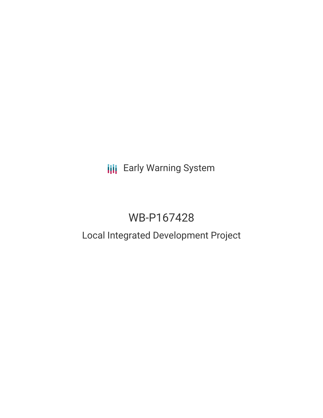# **III** Early Warning System

## WB-P167428

### Local Integrated Development Project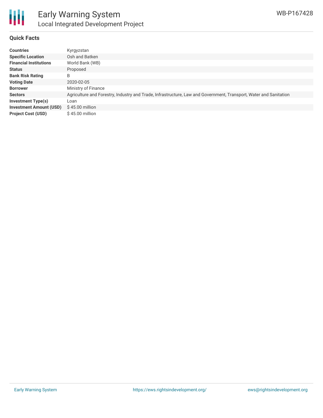

#### **Quick Facts**

| <b>Countries</b>               | Kyrgyzstan                                                                                                        |
|--------------------------------|-------------------------------------------------------------------------------------------------------------------|
| <b>Specific Location</b>       | Osh and Batken                                                                                                    |
| <b>Financial Institutions</b>  | World Bank (WB)                                                                                                   |
| <b>Status</b>                  | Proposed                                                                                                          |
| <b>Bank Risk Rating</b>        | B                                                                                                                 |
| <b>Voting Date</b>             | 2020-02-05                                                                                                        |
| <b>Borrower</b>                | Ministry of Finance                                                                                               |
| <b>Sectors</b>                 | Agriculture and Forestry, Industry and Trade, Infrastructure, Law and Government, Transport, Water and Sanitation |
| <b>Investment Type(s)</b>      | Loan                                                                                                              |
| <b>Investment Amount (USD)</b> | $$45.00$ million                                                                                                  |
| <b>Project Cost (USD)</b>      | \$45,00 million                                                                                                   |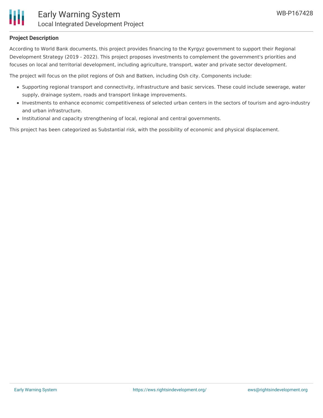

#### **Project Description**

According to World Bank documents, this project provides financing to the Kyrgyz government to support their Regional Development Strategy (2019 - 2022). This project proposes investments to complement the government's priorities and focuses on local and territorial development, including agriculture, transport, water and private sector development.

The project will focus on the pilot regions of Osh and Batken, including Osh city. Components include:

- Supporting regional transport and connectivity, infrastructure and basic services. These could include sewerage, water supply, drainage system, roads and transport linkage improvements.
- Investments to enhance economic competitiveness of selected urban centers in the sectors of tourism and agro-industry and urban infrastructure.
- Institutional and capacity strengthening of local, regional and central governments.

This project has been categorized as Substantial risk, with the possibility of economic and physical displacement.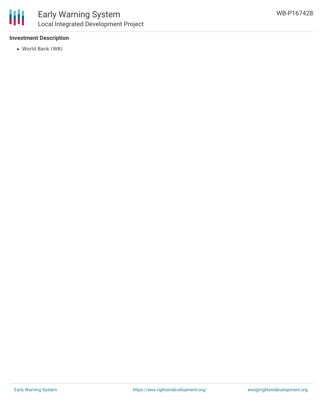

#### **Investment Description**

World Bank (WB)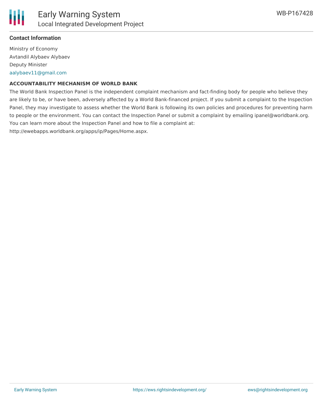

#### **Contact Information**

Ministry of Economy Avtandil Alybaev Alybaev Deputy Minister [aalybaev11@gmail.com](mailto:aalybaev11@gmail.com)

#### **ACCOUNTABILITY MECHANISM OF WORLD BANK**

The World Bank Inspection Panel is the independent complaint mechanism and fact-finding body for people who believe they are likely to be, or have been, adversely affected by a World Bank-financed project. If you submit a complaint to the Inspection Panel, they may investigate to assess whether the World Bank is following its own policies and procedures for preventing harm to people or the environment. You can contact the Inspection Panel or submit a complaint by emailing ipanel@worldbank.org. You can learn more about the Inspection Panel and how to file a complaint at: http://ewebapps.worldbank.org/apps/ip/Pages/Home.aspx.